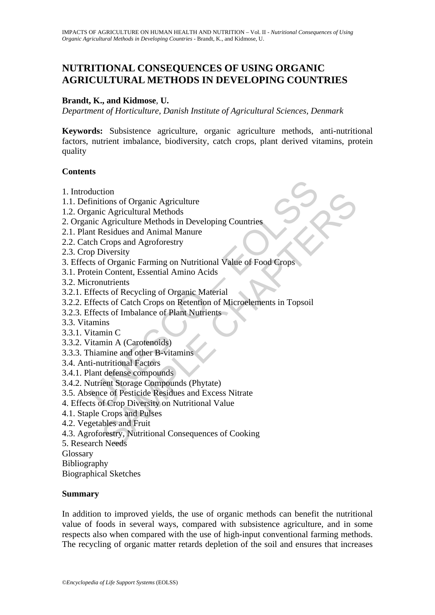# **NUTRITIONAL CONSEQUENCES OF USING ORGANIC AGRICULTURAL METHODS IN DEVELOPING COUNTRIES**

## **Brandt, K., and Kidmose**, **U.**

*Department of Horticulture, Danish Institute of Agricultural Sciences, Denmark* 

**Keywords:** Subsistence agriculture, organic agriculture methods, anti-nutritional factors, nutrient imbalance, biodiversity, catch crops, plant derived vitamins, protein quality

### **Contents**

- 1. Introduction
- 1.1. Definitions of Organic Agriculture
- 1.2. Organic Agricultural Methods
- 2. Organic Agriculture Methods in Developing Countries
- 2.1. Plant Residues and Animal Manure
- 2.2. Catch Crops and Agroforestry
- 2.3. Crop Diversity
- 3. Effects of Organic Farming on Nutritional Value of Food Crops
- 3.1. Protein Content, Essential Amino Acids
- 3.2. Micronutrients
- 3.2.1. Effects of Recycling of Organic Material
- duction<br>
duction<br>
dimitions of Organic Agriculture<br>
aranic Agricultural Methods<br>
mic Agriculture Methods in Developing Countries<br>
ant Residues and Animal Manure<br>
ch Crops and Agroforestry<br>
poliversity<br>
tein Content, Essent tion<br>
itions of Organic Agriculture<br>
ic Agricultural Methods<br>
Agricultural Methods<br>
Agriculture Methods in Developing Countries<br>
Seriatus and Animal Manure<br>
Crops and Agroforestry<br>
Crops and Agroforestry<br>
Diversity<br>
Sivers 3.2.2. Effects of Catch Crops on Retention of Microelements in Topsoil
- 3.2.3. Effects of Imbalance of Plant Nutrients
- 3.3. Vitamins
- 3.3.1. Vitamin C
- 3.3.2. Vitamin A (Carotenoids)
- 3.3.3. Thiamine and other B-vitamins
- 3.4. Anti-nutritional Factors
- 3.4.1. Plant defense compounds
- 3.4.2. Nutrient Storage Compounds (Phytate)
- 3.5. Absence of Pesticide Residues and Excess Nitrate
- 4. Effects of Crop Diversity on Nutritional Value
- 4.1. Staple Crops and Pulses
- 4.2. Vegetables and Fruit
- 4.3. Agroforestry, Nutritional Consequences of Cooking
- 5. Research Needs

Glossary

Bibliography

Biographical Sketches

### **Summary**

In addition to improved yields, the use of organic methods can benefit the nutritional value of foods in several ways, compared with subsistence agriculture, and in some respects also when compared with the use of high-input conventional farming methods. The recycling of organic matter retards depletion of the soil and ensures that increases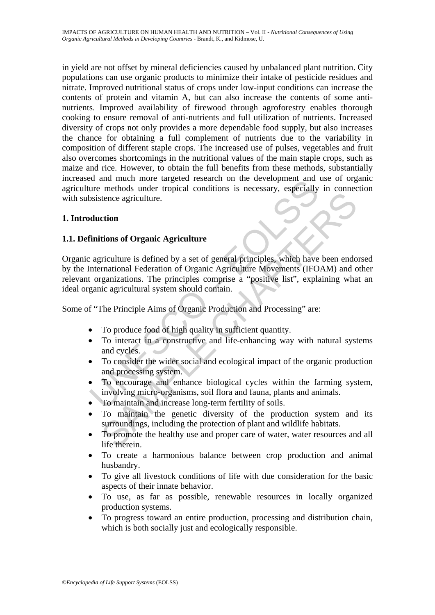in yield are not offset by mineral deficiencies caused by unbalanced plant nutrition. City populations can use organic products to minimize their intake of pesticide residues and nitrate. Improved nutritional status of crops under low-input conditions can increase the contents of protein and vitamin A, but can also increase the contents of some antinutrients. Improved availability of firewood through agroforestry enables thorough cooking to ensure removal of anti-nutrients and full utilization of nutrients. Increased diversity of crops not only provides a more dependable food supply, but also increases the chance for obtaining a full complement of nutrients due to the variability in composition of different staple crops. The increased use of pulses, vegetables and fruit also overcomes shortcomings in the nutritional values of the main staple crops, such as maize and rice. However, to obtain the full benefits from these methods, substantially increased and much more targeted research on the development and use of organic agriculture methods under tropical conditions is necessary, especially in connection with subsistence agriculture.

## **1. Introduction**

## **1.1. Definitions of Organic Agriculture**

Example 11 and move in the transference in the transmistance methods under tropical conditions is necessary, especially positence agriculture.<br>
The agriculture is defined by a set of general principles, which have internat Fractional Scheme and properties.<br>
The procedure of the production of Organic Agriculture<br>
Friculture is defined by a set of general principles, which have been endo<br>
mational Federation of Organic Agriculture Movements (I Organic agriculture is defined by a set of general principles, which have been endorsed by the International Federation of Organic Agriculture Movements (IFOAM) and other relevant organizations. The principles comprise a "positive list", explaining what an ideal organic agricultural system should contain.

Some of "The Principle Aims of Organic Production and Processing" are:

- To produce food of high quality in sufficient quantity.
- To interact in a constructive and life-enhancing way with natural systems and cycles.
- To consider the wider social and ecological impact of the organic production and processing system.
- To encourage and enhance biological cycles within the farming system, involving micro-organisms, soil flora and fauna, plants and animals.
- To maintain and increase long-term fertility of soils.
- To maintain the genetic diversity of the production system and its surroundings, including the protection of plant and wildlife habitats.
- To promote the healthy use and proper care of water, water resources and all life therein.
- To create a harmonious balance between crop production and animal husbandry.
- To give all livestock conditions of life with due consideration for the basic aspects of their innate behavior.
- To use, as far as possible, renewable resources in locally organized production systems.
- To progress toward an entire production, processing and distribution chain, which is both socially just and ecologically responsible.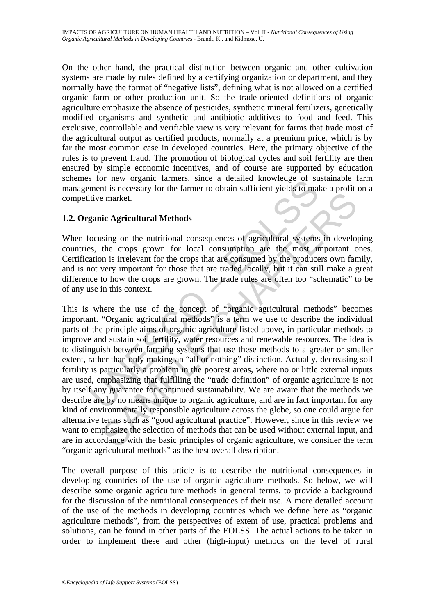On the other hand, the practical distinction between organic and other cultivation systems are made by rules defined by a certifying organization or department, and they normally have the format of "negative lists", defining what is not allowed on a certified organic farm or other production unit. So the trade-oriented definitions of organic agriculture emphasize the absence of pesticides, synthetic mineral fertilizers, genetically modified organisms and synthetic and antibiotic additives to food and feed. This exclusive, controllable and verifiable view is very relevant for farms that trade most of the agricultural output as certified products, normally at a premium price, which is by far the most common case in developed countries. Here, the primary objective of the rules is to prevent fraud. The promotion of biological cycles and soil fertility are then ensured by simple economic incentives, and of course are supported by education schemes for new organic farmers, since a detailed knowledge of sustainable farm management is necessary for the farmer to obtain sufficient yields to make a profit on a competitive market.

## **1.2. Organic Agricultural Methods**

When focusing on the nutritional consequences of agricultural systems in developing countries, the crops grown for local consumption are the most important ones. Certification is irrelevant for the crops that are consumed by the producers own family, and is not very important for those that are traded locally, but it can still make a great difference to how the crops are grown. The trade rules are often too "schematic" to be of any use in this context.

To level the definition and the process areas, where the amplitude the amplitude and the amplitude market.<br>
Then it is necessary for the farmer to obtain sufficient yields to mall<br>
tive market.<br>
Example Agricultural Method is a market.<br>
In the market.<br>
In the market.<br>
In the market.<br>
In the crops grown for local consumption are the most important of<br>
the crops grown for local consumption are the most important of<br>
ners in the crops that are This is where the use of the concept of "organic agricultural methods" becomes important. "Organic agricultural methods" is a term we use to describe the individual parts of the principle aims of organic agriculture listed above, in particular methods to improve and sustain soil fertility, water resources and renewable resources. The idea is to distinguish between farming systems that use these methods to a greater or smaller extent, rather than only making an "all or nothing" distinction. Actually, decreasing soil fertility is particularly a problem in the poorest areas, where no or little external inputs are used, emphasizing that fulfilling the "trade definition" of organic agriculture is not by itself any guarantee for continued sustainability. We are aware that the methods we describe are by no means unique to organic agriculture, and are in fact important for any kind of environmentally responsible agriculture across the globe, so one could argue for alternative terms such as "good agricultural practice". However, since in this review we want to emphasize the selection of methods that can be used without external input, and are in accordance with the basic principles of organic agriculture, we consider the term "organic agricultural methods" as the best overall description.

The overall purpose of this article is to describe the nutritional consequences in developing countries of the use of organic agriculture methods. So below, we will describe some organic agriculture methods in general terms, to provide a background for the discussion of the nutritional consequences of their use. A more detailed account of the use of the methods in developing countries which we define here as "organic agriculture methods", from the perspectives of extent of use, practical problems and solutions, can be found in other parts of the EOLSS. The actual actions to be taken in order to implement these and other (high-input) methods on the level of rural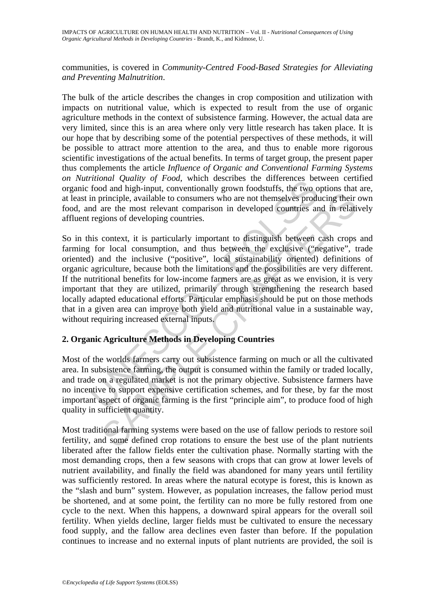IMPACTS OF AGRICULTURE ON HUMAN HEALTH AND NUTRITION – Vol. II - *Nutritional Consequences of Using Organic Agricultural Methods in Developing Countries* - Brandt, K., and Kidmose, U.

communities, is covered in *Community-Centred Food-Based Strategies for Alleviating and Preventing Malnutrition*.

The bulk of the article describes the changes in crop composition and utilization with impacts on nutritional value, which is expected to result from the use of organic agriculture methods in the context of subsistence farming. However, the actual data are very limited, since this is an area where only very little research has taken place. It is our hope that by describing some of the potential perspectives of these methods, it will be possible to attract more attention to the area, and thus to enable more rigorous scientific investigations of the actual benefits. In terms of target group, the present paper thus complements the article *Influence of Organic and Conventional Farming Systems on Nutritional Quality of Food*, which describes the differences between certified organic food and high-input, conventionally grown foodstuffs, the two options that are, at least in principle, available to consumers who are not themselves producing their own food, and are the most relevant comparison in developed countries and in relatively affluent regions of developing countries.

monar Quarity of Proda, which describes the timeneness between<br>the food and high-input, conventionally grown foodstuffs, the two or<br>in principle, available to consumers who are not themselves produ<br>d are the most relevant incrimitive, a valiable to consumers who are not themselves producing their correction, and the most relevant comparison in developed countries and in relations of developing countries.<br>
context, it is particularly importa So in this context, it is particularly important to distinguish between cash crops and farming for local consumption, and thus between the exclusive ("negative", trade oriented) and the inclusive ("positive", local sustainability oriented) definitions of organic agriculture, because both the limitations and the possibilities are very different. If the nutritional benefits for low-income farmers are as great as we envision, it is very important that they are utilized, primarily through strengthening the research based locally adapted educational efforts. Particular emphasis should be put on those methods that in a given area can improve both yield and nutritional value in a sustainable way, without requiring increased external inputs.

## **2. Organic Agriculture Methods in Developing Countries**

Most of the worlds farmers carry out subsistence farming on much or all the cultivated area. In subsistence farming, the output is consumed within the family or traded locally, and trade on a regulated market is not the primary objective. Subsistence farmers have no incentive to support expensive certification schemes, and for these, by far the most important aspect of organic farming is the first "principle aim", to produce food of high quality in sufficient quantity.

Most traditional farming systems were based on the use of fallow periods to restore soil fertility, and some defined crop rotations to ensure the best use of the plant nutrients liberated after the fallow fields enter the cultivation phase. Normally starting with the most demanding crops, then a few seasons with crops that can grow at lower levels of nutrient availability, and finally the field was abandoned for many years until fertility was sufficiently restored. In areas where the natural ecotype is forest, this is known as the "slash and burn" system. However, as population increases, the fallow period must be shortened, and at some point, the fertility can no more be fully restored from one cycle to the next. When this happens, a downward spiral appears for the overall soil fertility. When yields decline, larger fields must be cultivated to ensure the necessary food supply, and the fallow area declines even faster than before. If the population continues to increase and no external inputs of plant nutrients are provided, the soil is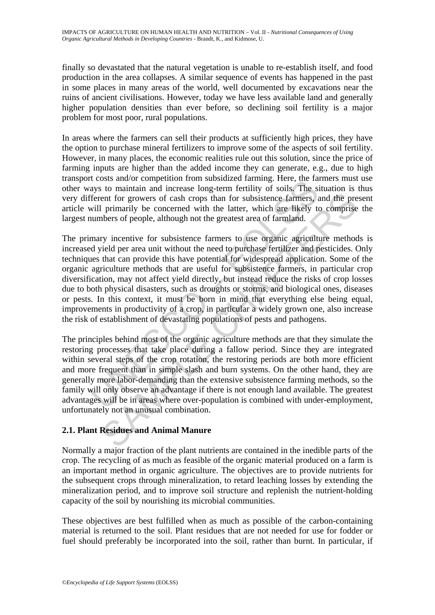finally so devastated that the natural vegetation is unable to re-establish itself, and food production in the area collapses. A similar sequence of events has happened in the past in some places in many areas of the world, well documented by excavations near the ruins of ancient civilisations. However, today we have less available land and generally higher population densities than ever before, so declining soil fertility is a major problem for most poor, rural populations.

In areas where the farmers can sell their products at sufficiently high prices, they have the option to purchase mineral fertilizers to improve some of the aspects of soil fertility. However, in many places, the economic realities rule out this solution, since the price of farming inputs are higher than the added income they can generate, e.g., due to high transport costs and/or competition from subsidized farming. Here, the farmers must use other ways to maintain and increase long-term fertility of soils. The situation is thus very different for growers of cash crops than for subsistence farmers, and the present article will primarily be concerned with the latter, which are likely to comprise the largest numbers of people, although not the greatest area of farmland.

The case and the constant and substanted rating. There has any to maintain and increase long-term fertility of soils. The significant reflective of cash crops than for subsistence farmers, *i* will primarily be concerned w end for growers of cash crops than for subsistence farmers, and the pre-<br>primarily be concerned with the latter, which are likely to comprise<br>obers of people, although not the greatest area of farmland.<br>Figure method per a The primary incentive for subsistence farmers to use organic agriculture methods is increased yield per area unit without the need to purchase fertilizer and pesticides. Only techniques that can provide this have potential for widespread application. Some of the organic agriculture methods that are useful for subsistence farmers, in particular crop diversification, may not affect yield directly, but instead reduce the risks of crop losses due to both physical disasters, such as droughts or storms, and biological ones, diseases or pests. In this context, it must be born in mind that everything else being equal, improvements in productivity of a crop, in particular a widely grown one, also increase the risk of establishment of devastating populations of pests and pathogens.

The principles behind most of the organic agriculture methods are that they simulate the restoring processes that take place during a fallow period. Since they are integrated within several steps of the crop rotation, the restoring periods are both more efficient and more frequent than in simple slash and burn systems. On the other hand, they are generally more labor-demanding than the extensive subsistence farming methods, so the family will only observe an advantage if there is not enough land available. The greatest advantages will be in areas where over-population is combined with under-employment, unfortunately not an unusual combination.

# **2.1. Plant Residues and Animal Manure**

Normally a major fraction of the plant nutrients are contained in the inedible parts of the crop. The recycling of as much as feasible of the organic material produced on a farm is an important method in organic agriculture. The objectives are to provide nutrients for the subsequent crops through mineralization, to retard leaching losses by extending the mineralization period, and to improve soil structure and replenish the nutrient-holding capacity of the soil by nourishing its microbial communities.

These objectives are best fulfilled when as much as possible of the carbon-containing material is returned to the soil. Plant residues that are not needed for use for fodder or fuel should preferably be incorporated into the soil, rather than burnt. In particular, if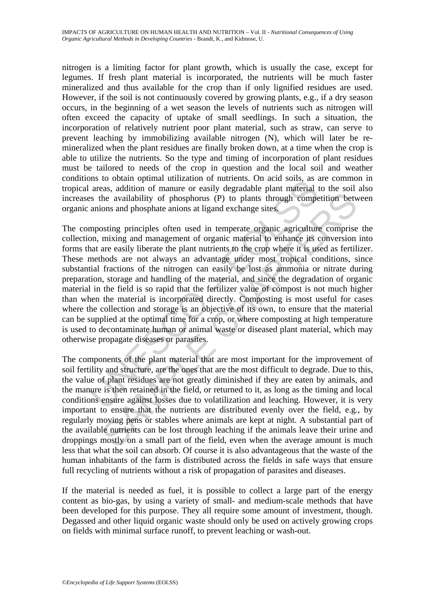nitrogen is a limiting factor for plant growth, which is usually the case, except for legumes. If fresh plant material is incorporated, the nutrients will be much faster mineralized and thus available for the crop than if only lignified residues are used. However, if the soil is not continuously covered by growing plants, e.g., if a dry season occurs, in the beginning of a wet season the levels of nutrients such as nitrogen will often exceed the capacity of uptake of small seedlings. In such a situation, the incorporation of relatively nutrient poor plant material, such as straw, can serve to prevent leaching by immobilizing available nitrogen (N), which will later be remineralized when the plant residues are finally broken down, at a time when the crop is able to utilize the nutrients. So the type and timing of incorporation of plant residues must be tailored to needs of the crop in question and the local soil and weather conditions to obtain optimal utilization of nutrients. On acid soils, as are common in tropical areas, addition of manure or easily degradable plant material to the soil also increases the availability of phosphorus (P) to plants through competition between organic anions and phosphate anions at ligand exchange sites.

Ins to obtain optimal unitzation of interests. Of actual solists, as<br>areas, addition of manure or easily degradable plant solists, as<br>areas, addition of manure or easily degradable plant material<br>as the availability of pho The availability of phosphorus (P) to plants through competition between availability of phosphorus (P) to plants through competition between only and phosphate anions at ligand exchange sites.<br>
Siting principles often us The composting principles often used in temperate organic agriculture comprise the collection, mixing and management of organic material to enhance its conversion into forms that are easily liberate the plant nutrients to the crop where it is used as fertilizer. These methods are not always an advantage under most tropical conditions, since substantial fractions of the nitrogen can easily be lost as ammonia or nitrate during preparation, storage and handling of the material, and since the degradation of organic material in the field is so rapid that the fertilizer value of compost is not much higher than when the material is incorporated directly. Composting is most useful for cases where the collection and storage is an objective of its own, to ensure that the material can be supplied at the optimal time for a crop, or where composting at high temperature is used to decontaminate human or animal waste or diseased plant material, which may otherwise propagate diseases or parasites.

The components of the plant material that are most important for the improvement of soil fertility and structure, are the ones that are the most difficult to degrade. Due to this, the value of plant residues are not greatly diminished if they are eaten by animals, and the manure is then retained in the field, or returned to it, as long as the timing and local conditions ensure against losses due to volatilization and leaching. However, it is very important to ensure that the nutrients are distributed evenly over the field, e.g., by regularly moving pens or stables where animals are kept at night. A substantial part of the available nutrients can be lost through leaching if the animals leave their urine and droppings mostly on a small part of the field, even when the average amount is much less that what the soil can absorb. Of course it is also advantageous that the waste of the human inhabitants of the farm is distributed across the fields in safe ways that ensure full recycling of nutrients without a risk of propagation of parasites and diseases.

If the material is needed as fuel, it is possible to collect a large part of the energy content as bio-gas, by using a variety of small- and medium-scale methods that have been developed for this purpose. They all require some amount of investment, though. Degassed and other liquid organic waste should only be used on actively growing crops on fields with minimal surface runoff, to prevent leaching or wash-out.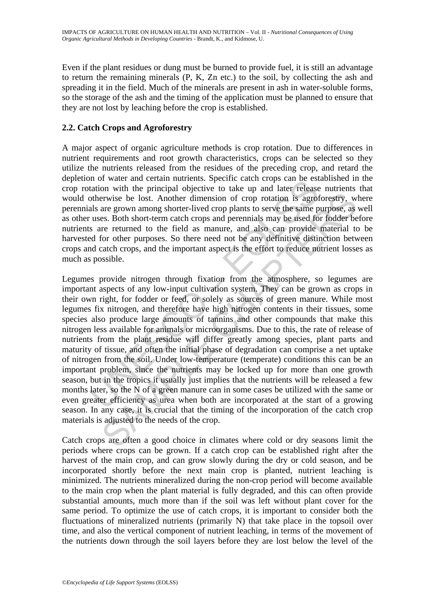Even if the plant residues or dung must be burned to provide fuel, it is still an advantage to return the remaining minerals (P, K, Zn etc.) to the soil, by collecting the ash and spreading it in the field. Much of the minerals are present in ash in water-soluble forms, so the storage of the ash and the timing of the application must be planned to ensure that they are not lost by leaching before the crop is established.

## **2.2. Catch Crops and Agroforestry**

A major aspect of organic agriculture methods is crop rotation. Due to differences in nutrient requirements and root growth characteristics, crops can be selected so they utilize the nutrients released from the residues of the preceding crop, and retard the depletion of water and certain nutrients. Specific catch crops can be established in the crop rotation with the principal objective to take up and later release nutrients that would otherwise be lost. Another dimension of crop rotation is agroforestry, where perennials are grown among shorter-lived crop plants to serve the same purpose, as well as other uses. Both short-term catch crops and perennials may be used for fodder before nutrients are returned to the field as manure, and also can provide material to be harvested for other purposes. So there need not be any definitive distinction between crops and catch crops, and the important aspect is the effort to reduce nutrient losses as much as possible.

In the water and certain inturents. Spectruce catal costs are exact to the station with the principal objective to take up and later releases otherwise be lost. Another dimension of crop rotation is agrodals are grown amon erwise be lost. Another dimension of crop rotation is agroforestry, we<br>rewise be lost. Another dimension of crop rotation is agroforestry, we<br>are grown among shorter-lived crop plants to serve the same purpose, as<br>es. Both Legumes provide nitrogen through fixation from the atmosphere, so legumes are important aspects of any low-input cultivation system. They can be grown as crops in their own right, for fodder or feed, or solely as sources of green manure. While most legumes fix nitrogen, and therefore have high nitrogen contents in their tissues, some species also produce large amounts of tannins and other compounds that make this nitrogen less available for animals or microorganisms. Due to this, the rate of release of nutrients from the plant residue will differ greatly among species, plant parts and maturity of tissue, and often the initial phase of degradation can comprise a net uptake of nitrogen from the soil. Under low-temperature (temperate) conditions this can be an important problem, since the nutrients may be locked up for more than one growth season, but in the tropics it usually just implies that the nutrients will be released a few months later, so the N of a green manure can in some cases be utilized with the same or even greater efficiency as urea when both are incorporated at the start of a growing season. In any case, it is crucial that the timing of the incorporation of the catch crop materials is adjusted to the needs of the crop.

Catch crops are often a good choice in climates where cold or dry seasons limit the periods where crops can be grown. If a catch crop can be established right after the harvest of the main crop, and can grow slowly during the dry or cold season, and be incorporated shortly before the next main crop is planted, nutrient leaching is minimized. The nutrients mineralized during the non-crop period will become available to the main crop when the plant material is fully degraded, and this can often provide substantial amounts, much more than if the soil was left without plant cover for the same period. To optimize the use of catch crops, it is important to consider both the fluctuations of mineralized nutrients (primarily N) that take place in the topsoil over time, and also the vertical component of nutrient leaching, in terms of the movement of the nutrients down through the soil layers before they are lost below the level of the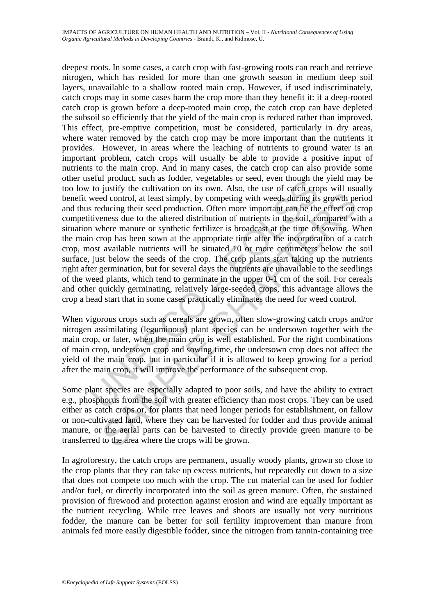the product, such as boddet, vegetables of seed, even lingur un<br>to justify the cultivation on its own. Also, the use of catch cro<br>weed control, at least simply, by competing with weeds during its<br>reducing their seed produc ded control, at least simply, by competing with weeds during its growth peducing their seed production. Often more important can be the effect on eness due to the altered distribution of nutrients in the soil, compared wis deepest roots. In some cases, a catch crop with fast-growing roots can reach and retrieve nitrogen, which has resided for more than one growth season in medium deep soil layers, unavailable to a shallow rooted main crop. However, if used indiscriminately, catch crops may in some cases harm the crop more than they benefit it: if a deep-rooted catch crop is grown before a deep-rooted main crop, the catch crop can have depleted the subsoil so efficiently that the yield of the main crop is reduced rather than improved. This effect, pre-emptive competition, must be considered, particularly in dry areas, where water removed by the catch crop may be more important than the nutrients it provides. However, in areas where the leaching of nutrients to ground water is an important problem, catch crops will usually be able to provide a positive input of nutrients to the main crop. And in many cases, the catch crop can also provide some other useful product, such as fodder, vegetables or seed, even though the yield may be too low to justify the cultivation on its own. Also, the use of catch crops will usually benefit weed control, at least simply, by competing with weeds during its growth period and thus reducing their seed production. Often more important can be the effect on crop competitiveness due to the altered distribution of nutrients in the soil, compared with a situation where manure or synthetic fertilizer is broadcast at the time of sowing. When the main crop has been sown at the appropriate time after the incorporation of a catch crop, most available nutrients will be situated 10 or more centimeters below the soil surface, just below the seeds of the crop. The crop plants start taking up the nutrients right after germination, but for several days the nutrients are unavailable to the seedlings of the weed plants, which tend to germinate in the upper 0-1 cm of the soil. For cereals and other quickly germinating, relatively large-seeded crops, this advantage allows the crop a head start that in some cases practically eliminates the need for weed control.

When vigorous crops such as cereals are grown, often slow-growing catch crops and/or nitrogen assimilating (leguminous) plant species can be undersown together with the main crop, or later, when the main crop is well established. For the right combinations of main crop, undersown crop and sowing time, the undersown crop does not affect the yield of the main crop, but in particular if it is allowed to keep growing for a period after the main crop, it will improve the performance of the subsequent crop.

Some plant species are especially adapted to poor soils, and have the ability to extract e.g., phosphorus from the soil with greater efficiency than most crops. They can be used either as catch crops or, for plants that need longer periods for establishment, on fallow or non-cultivated land, where they can be harvested for fodder and thus provide animal manure, or the aerial parts can be harvested to directly provide green manure to be transferred to the area where the crops will be grown.

In agroforestry, the catch crops are permanent, usually woody plants, grown so close to the crop plants that they can take up excess nutrients, but repeatedly cut down to a size that does not compete too much with the crop. The cut material can be used for fodder and/or fuel, or directly incorporated into the soil as green manure. Often, the sustained provision of firewood and protection against erosion and wind are equally important as the nutrient recycling. While tree leaves and shoots are usually not very nutritious fodder, the manure can be better for soil fertility improvement than manure from animals fed more easily digestible fodder, since the nitrogen from tannin-containing tree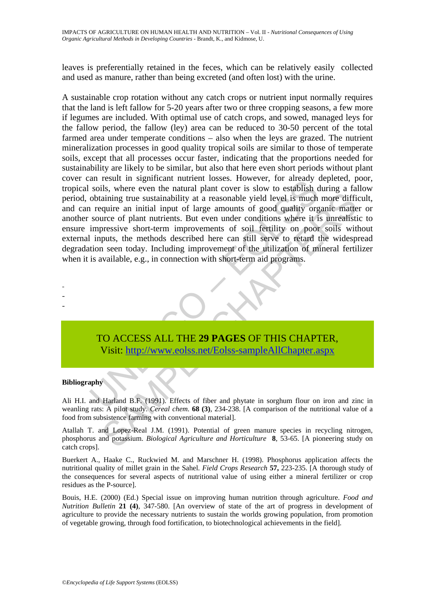leaves is preferentially retained in the feces, which can be relatively easily collected and used as manure, rather than being excreted (and often lost) with the urine.

an essay. In signmatical nutural toxes. However, for anady solis, where even the natural plant cover is slow to establish cobtaining true sustainability at a reasonable yield level is much a require an initial input of lar cal animig true sustainability at a reasonable yield level is much more diffi-<br>quire an initial input of large amounts of good quality organic matter<br>curve of plant nutrients. But even under conditions where it is unrealle A sustainable crop rotation without any catch crops or nutrient input normally requires that the land is left fallow for 5-20 years after two or three cropping seasons, a few more if legumes are included. With optimal use of catch crops, and sowed, managed leys for the fallow period, the fallow (ley) area can be reduced to 30-50 percent of the total farmed area under temperate conditions – also when the leys are grazed. The nutrient mineralization processes in good quality tropical soils are similar to those of temperate soils, except that all processes occur faster, indicating that the proportions needed for sustainability are likely to be similar, but also that here even short periods without plant cover can result in significant nutrient losses. However, for already depleted, poor, tropical soils, where even the natural plant cover is slow to establish during a fallow period, obtaining true sustainability at a reasonable yield level is much more difficult, and can require an initial input of large amounts of good quality organic matter or another source of plant nutrients. But even under conditions where it is unrealistic to ensure impressive short-term improvements of soil fertility on poor soils without external inputs, the methods described here can still serve to retard the widespread degradation seen today. Including improvement of the utilization of mineral fertilizer when it is available, e.g., in connection with short-term aid programs.



#### **Bibliography**

- - -

Ali H.I. and Harland B.F. (1991). Effects of fiber and phytate in sorghum flour on iron and zinc in weanling rats: A pilot study. *Cereal chem.* **68 (3)**, 234-238. [A comparison of the nutritional value of a food from subsistence farming with conventional material].

Atallah T. and Lopez-Real J.M. (1991). Potential of green manure species in recycling nitrogen, phosphorus and potassium. *Biological Agriculture and Horticulture* **8**, 53-65. [A pioneering study on catch crops].

Buerkert A., Haake C., Ruckwied M. and Marschner H. (1998). Phosphorus application affects the nutritional quality of millet grain in the Sahel. *Field Crops Research* **57,** 223-235. [A thorough study of the consequences for several aspects of nutritional value of using either a mineral fertilizer or crop residues as the P-source].

Bouis, H.E. (2000) (Ed.) Special issue on improving human nutrition through agriculture. *Food and Nutrition Bulletin* **21 (4)**, 347-580. [An overview of state of the art of progress in development of agriculture to provide the necessary nutrients to sustain the worlds growing population, from promotion of vegetable growing, through food fortification, to biotechnological achievements in the field].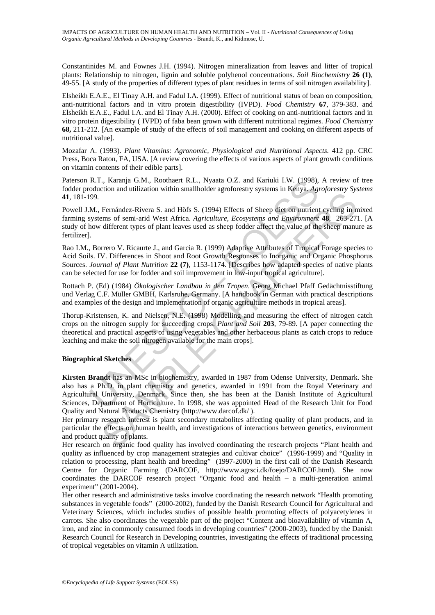Constantinides M. and Fownes J.H. (1994). Nitrogen mineralization from leaves and litter of tropical plants: Relationship to nitrogen, lignin and soluble polyhenol concentrations. *Soil Biochemistry* **26 (1)**, 49-55. [A study of the properties of different types of plant residues in terms of soil nitrogen availability].

Elsheikh E.A.E., El Tinay A.H. and Fadul I.A. (1999). Effect of nutritional status of bean on composition, anti-nutritional factors and in vitro protein digestibility (IVPD). *Food Chemistry* **67**, 379-383. and Elsheikh E.A.E., Fadul I.A. and El Tinay A.H. (2000). Effect of cooking on anti-nutritional factors and in vitro protein digestibility ( IVPD) of faba bean grown with different nutritional regimes. *Food Chemistry*  **68,** 211-212. [An example of study of the effects of soil management and cooking on different aspects of nutritional value].

Mozafar A. (1993). *Plant Vitamins: Agronomic, Physiological and Nutritional Aspects.* 412 pp. CRC Press, Boca Raton, FA, USA. [A review covering the effects of various aspects of plant growth conditions on vitamin contents of their edible parts].

Paterson R.T., Karanja G.M., Roothaert R.L., Nyaata O.Z. and Kariuki I.W. (1998), A review of tree fodder production and utilization within smallholder agroforestry systems in Kenya. *Agroforestry Systems*  **41***,* 181-199*.*

Powell J.M., Fernández-Rivera S. and Höfs S. (1994) Effects of Sheep diet on nutrient cycling in mixed farming systems of semi-arid West Africa. *Agriculture, Ecosystems and Environment* **48**, 263-271. [A study of how different types of plant leaves used as sheep fodder affect the value of the sheep manure as fertilizer].

Rao I.M., Borrero V. Ricaurte J., and Garcia R. (1999) Adaptive Attributes of Tropical Forage species to Acid Soils. IV. Differences in Shoot and Root Growth Responses to Inorganic and Organic Phosphorus Sources. *Journal of Plant Nutrition* **22 (7)**, 1153-1174. [Describes how adapted species of native plants can be selected for use for fodder and soil improvement in low-input tropical agriculture].

Rottach P. (Ed) (1984) *Ökologischer Landbau in den Tropen*. Georg Michael Pfaff Gedächtnisstiftung und Verlag C.F. Müller GMBH, Karlsruhe, Germany. [A handbook in German with practical descriptions and examples of the design and implementation of organic agriculture methods in tropical areas].

Thorup-Kristensen, K. and Nielsen, N.E. (1998) Modelling and measuring the effect of nitrogen catch crops on the nitrogen supply for succeeding crops. *Plant and Soil* **203**, 79-89. [A paper connecting the theoretical and practical aspects of using vegetables and other herbaceous plants as catch crops to reduce leaching and make the soil nitrogen available for the main crops].

#### **Biographical Sketches**

R.T., Karanja G.M., Roothaert R.L., Nyaata O.Z. and Karuki I.W. (1998),<br>oduction and utilization within smallholder agroforestry systems in Kenya. Ago<br>oduction and utilization within smallholder agroforestry systems in Ken Ternandez-Rivera S. and Höfs S. (1994) Effects of Sheep diet on nutrient cycling in n different types of plant and West Africia *Agriculture*. *Ecosystems and Environment* 48. 269-271 different types of plant leaves used a **Kirsten Brandt** has an MSc in biochemistry, awarded in 1987 from Odense University, Denmark. She also has a Ph.D. in plant chemistry and genetics, awarded in 1991 from the Royal Veterinary and Agricultural University, Denmark. Since then, she has been at the Danish Institute of Agricultural Sciences, Department of Horticulture. In 1998, she was appointed Head of the Research Unit for Food Quality and Natural Products Chemistry (http://www.darcof.dk/ ).

Her primary research interest is plant secondary metabolites affecting quality of plant products, and in particular the effects on human health, and investigations of interactions between genetics, environment and product quality of plants.

Her research on organic food quality has involved coordinating the research projects "Plant health and quality as influenced by crop management strategies and cultivar choice" (1996-1999) and "Quality in relation to processing, plant health and breeding" (1997-2000) in the first call of the Danish Research Centre for Organic Farming (DARCOF, http://www.agrsci.dk/foejo/DARCOF.html). She now coordinates the DARCOF research project "Organic food and health – a multi-generation animal experiment" (2001-2004).

Her other research and administrative tasks involve coordinating the research network "Health promoting substances in vegetable foods" (2000-2002), funded by the Danish Research Council for Agricultural and Veterinary Sciences, which includes studies of possible health promoting effects of polyacetylenes in carrots. She also coordinates the vegetable part of the project "Content and bioavailability of vitamin A, iron, and zinc in commonly consumed foods in developing countries" (2000-2003), funded by the Danish Research Council for Research in Developing countries, investigating the effects of traditional processing of tropical vegetables on vitamin A utilization.